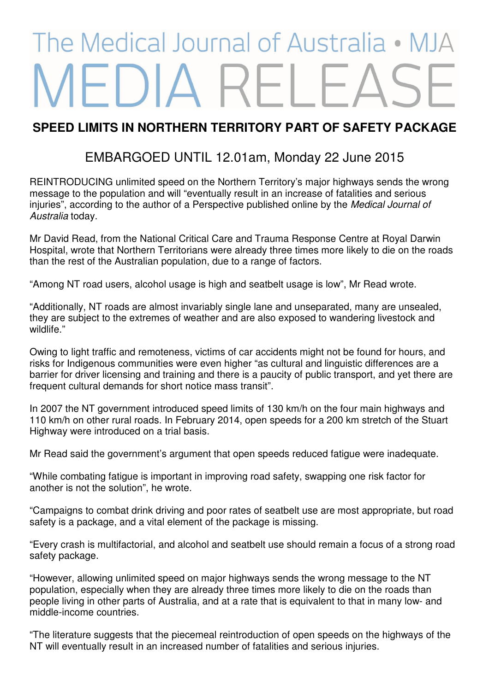## The Medical Journal of Australia • M FDIA

## **SPEED LIMITS IN NORTHERN TERRITORY PART OF SAFETY PACKAGE**

## EMBARGOED UNTIL 12.01am, Monday 22 June 2015

REINTRODUCING unlimited speed on the Northern Territory's major highways sends the wrong message to the population and will "eventually result in an increase of fatalities and serious injuries", according to the author of a Perspective published online by the Medical Journal of Australia today.

Mr David Read, from the National Critical Care and Trauma Response Centre at Royal Darwin Hospital, wrote that Northern Territorians were already three times more likely to die on the roads than the rest of the Australian population, due to a range of factors.

"Among NT road users, alcohol usage is high and seatbelt usage is low", Mr Read wrote.

"Additionally, NT roads are almost invariably single lane and unseparated, many are unsealed, they are subject to the extremes of weather and are also exposed to wandering livestock and wildlife."

Owing to light traffic and remoteness, victims of car accidents might not be found for hours, and risks for Indigenous communities were even higher "as cultural and linguistic differences are a barrier for driver licensing and training and there is a paucity of public transport, and yet there are frequent cultural demands for short notice mass transit".

In 2007 the NT government introduced speed limits of 130 km/h on the four main highways and 110 km/h on other rural roads. In February 2014, open speeds for a 200 km stretch of the Stuart Highway were introduced on a trial basis.

Mr Read said the government's argument that open speeds reduced fatigue were inadequate.

"While combating fatigue is important in improving road safety, swapping one risk factor for another is not the solution", he wrote.

"Campaigns to combat drink driving and poor rates of seatbelt use are most appropriate, but road safety is a package, and a vital element of the package is missing.

"Every crash is multifactorial, and alcohol and seatbelt use should remain a focus of a strong road safety package.

"However, allowing unlimited speed on major highways sends the wrong message to the NT population, especially when they are already three times more likely to die on the roads than people living in other parts of Australia, and at a rate that is equivalent to that in many low- and middle-income countries.

"The literature suggests that the piecemeal reintroduction of open speeds on the highways of the NT will eventually result in an increased number of fatalities and serious injuries.